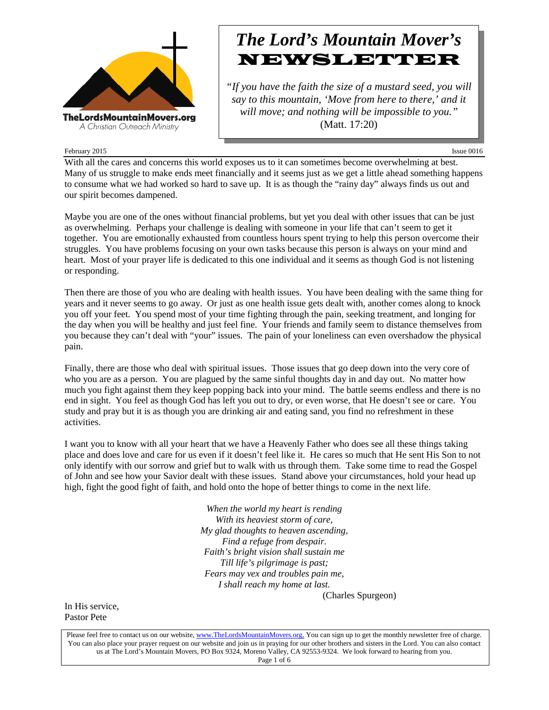

## *The Lord's Mountain Mover's* NEWSLETTER

*"If you have the faith the size of a mustard seed, you will say to this mountain, 'Move from here to there,' and it will move; and nothing will be impossible to you."* (Matt. 17:20)

#### February 2015 Issue 0016

With all the cares and concerns this world exposes us to it can sometimes become overwhelming at best. Many of us struggle to make ends meet financially and it seems just as we get a little ahead something happens to consume what we had worked so hard to save up. It is as though the "rainy day" always finds us out and our spirit becomes dampened.

Maybe you are one of the ones without financial problems, but yet you deal with other issues that can be just as overwhelming. Perhaps your challenge is dealing with someone in your life that can't seem to get it together. You are emotionally exhausted from countless hours spent trying to help this person overcome their struggles. You have problems focusing on your own tasks because this person is always on your mind and heart. Most of your prayer life is dedicated to this one individual and it seems as though God is not listening or responding.

Then there are those of you who are dealing with health issues. You have been dealing with the same thing for years and it never seems to go away. Or just as one health issue gets dealt with, another comes along to knock you off your feet. You spend most of your time fighting through the pain, seeking treatment, and longing for the day when you will be healthy and just feel fine. Your friends and family seem to distance themselves from you because they can't deal with "your" issues. The pain of your loneliness can even overshadow the physical pain.

Finally, there are those who deal with spiritual issues. Those issues that go deep down into the very core of who you are as a person. You are plagued by the same sinful thoughts day in and day out. No matter how much you fight against them they keep popping back into your mind. The battle seems endless and there is no end in sight. You feel as though God has left you out to dry, or even worse, that He doesn't see or care. You study and pray but it is as though you are drinking air and eating sand, you find no refreshment in these activities.

I want you to know with all your heart that we have a Heavenly Father who does see all these things taking place and does love and care for us even if it doesn't feel like it. He cares so much that He sent His Son to not only identify with our sorrow and grief but to walk with us through them. Take some time to read the Gospel of John and see how your Savior dealt with these issues. Stand above your circumstances, hold your head up high, fight the good fight of faith, and hold onto the hope of better things to come in the next life.

> *When the world my heart is rending With its heaviest storm of care, My glad thoughts to heaven ascending, Find a refuge from despair. Faith's bright vision shall sustain me Till life's pilgrimage is past; Fears may vex and troubles pain me, I shall reach my home at last.*

(Charles Spurgeon)

In His service, Pastor Pete

Please feel free to contact us on our website, ww[w.TheLordsMountainMovers.o](http://www.thelordsmountainmovers.org/)rg. You can sign up to get the monthly newsletter free of charge. You can also place your prayer request on our website and join us in praying for our other brothers and sisters in the Lord. You can also contact us at The Lord's Mountain Movers, PO Box 9324, Moreno Valley, CA 92553-9324. We look forward to hearing from you. Page 1 of 6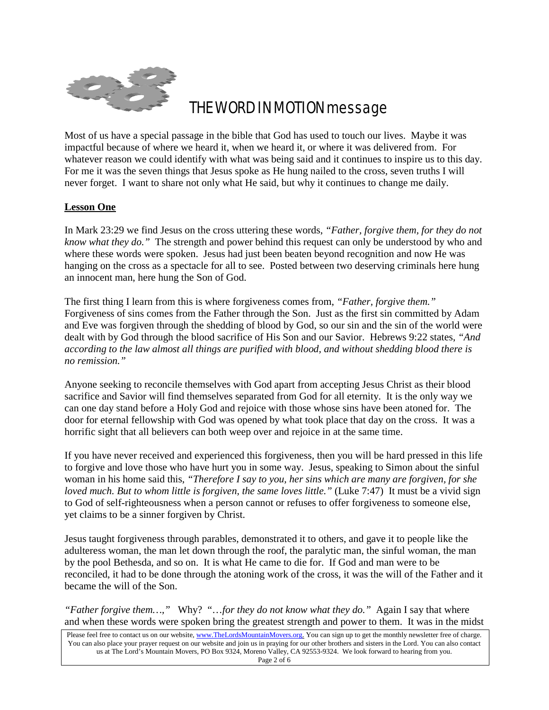

## THE WORD IN MOTION message

Most of us have a special passage in the bible that God has used to touch our lives. Maybe it was impactful because of where we heard it, when we heard it, or where it was delivered from. For whatever reason we could identify with what was being said and it continues to inspire us to this day. For me it was the seven things that Jesus spoke as He hung nailed to the cross, seven truths I will never forget. I want to share not only what He said, but why it continues to change me daily.

### **Lesson One**

In Mark 23:29 we find Jesus on the cross uttering these words, *"Father, forgive them, for they do not know what they do."* The strength and power behind this request can only be understood by who and where these words were spoken. Jesus had just been beaten beyond recognition and now He was hanging on the cross as a spectacle for all to see. Posted between two deserving criminals here hung an innocent man, here hung the Son of God.

The first thing I learn from this is where forgiveness comes from, *"Father, forgive them."* Forgiveness of sins comes from the Father through the Son. Just as the first sin committed by Adam and Eve was forgiven through the shedding of blood by God, so our sin and the sin of the world were dealt with by God through the blood sacrifice of His Son and our Savior. Hebrews 9:22 states, *"And according to the law almost all things are purified with blood, and without shedding blood there is no remission."*

Anyone seeking to reconcile themselves with God apart from accepting Jesus Christ as their blood sacrifice and Savior will find themselves separated from God for all eternity. It is the only way we can one day stand before a Holy God and rejoice with those whose sins have been atoned for. The door for eternal fellowship with God was opened by what took place that day on the cross. It was a horrific sight that all believers can both weep over and rejoice in at the same time.

If you have never received and experienced this forgiveness, then you will be hard pressed in this life to forgive and love those who have hurt you in some way. Jesus, speaking to Simon about the sinful woman in his home said this, *"Therefore I say to you, her sins which are many are forgiven, for she loved much. But to whom little is forgiven, the same loves little."* (Luke 7:47) It must be a vivid sign to God of self-righteousness when a person cannot or refuses to offer forgiveness to someone else, yet claims to be a sinner forgiven by Christ.

Jesus taught forgiveness through parables, demonstrated it to others, and gave it to people like the adulteress woman, the man let down through the roof, the paralytic man, the sinful woman, the man by the pool Bethesda, and so on. It is what He came to die for. If God and man were to be reconciled, it had to be done through the atoning work of the cross, it was the will of the Father and it became the will of the Son.

*"Father forgive them…,"* Why? "…*for they do not know what they do."* Again I say that where and when these words were spoken bring the greatest strength and power to them. It was in the midst

Please feel free to contact us on our website, ww[w.TheLordsMountainMovers.o](http://www.thelordsmountainmovers.org/)rg. You can sign up to get the monthly newsletter free of charge. You can also place your prayer request on our website and join us in praying for our other brothers and sisters in the Lord. You can also contact us at The Lord's Mountain Movers, PO Box 9324, Moreno Valley, CA 92553-9324. We look forward to hearing from you. Page 2 of 6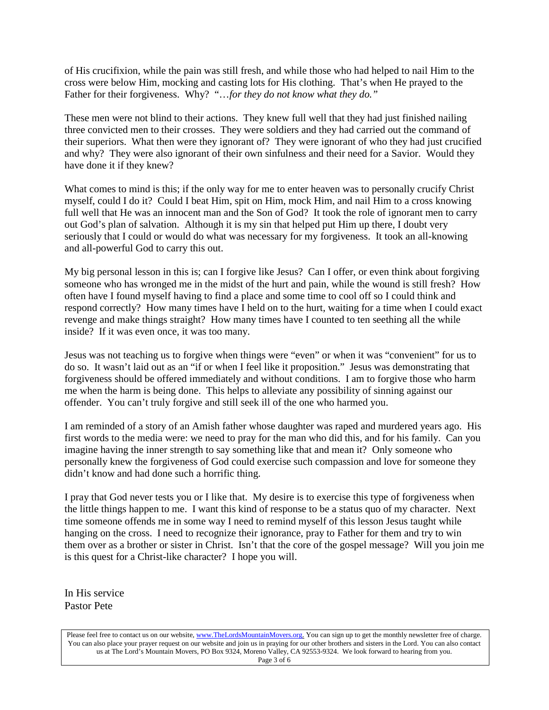of His crucifixion, while the pain was still fresh, and while those who had helped to nail Him to the cross were below Him, mocking and casting lots for His clothing. That's when He prayed to the Father for their forgiveness. Why? "…*for they do not know what they do."*

These men were not blind to their actions. They knew full well that they had just finished nailing three convicted men to their crosses. They were soldiers and they had carried out the command of their superiors. What then were they ignorant of? They were ignorant of who they had just crucified and why? They were also ignorant of their own sinfulness and their need for a Savior. Would they have done it if they knew?

What comes to mind is this; if the only way for me to enter heaven was to personally crucify Christ myself, could I do it? Could I beat Him, spit on Him, mock Him, and nail Him to a cross knowing full well that He was an innocent man and the Son of God? It took the role of ignorant men to carry out God's plan of salvation. Although it is my sin that helped put Him up there, I doubt very seriously that I could or would do what was necessary for my forgiveness. It took an all-knowing and all-powerful God to carry this out.

My big personal lesson in this is; can I forgive like Jesus? Can I offer, or even think about forgiving someone who has wronged me in the midst of the hurt and pain, while the wound is still fresh? How often have I found myself having to find a place and some time to cool off so I could think and respond correctly? How many times have I held on to the hurt, waiting for a time when I could exact revenge and make things straight? How many times have I counted to ten seething all the while inside? If it was even once, it was too many.

Jesus was not teaching us to forgive when things were "even" or when it was "convenient" for us to do so. It wasn't laid out as an "if or when I feel like it proposition." Jesus was demonstrating that forgiveness should be offered immediately and without conditions. I am to forgive those who harm me when the harm is being done. This helps to alleviate any possibility of sinning against our offender. You can't truly forgive and still seek ill of the one who harmed you.

I am reminded of a story of an Amish father whose daughter was raped and murdered years ago. His first words to the media were: we need to pray for the man who did this, and for his family. Can you imagine having the inner strength to say something like that and mean it? Only someone who personally knew the forgiveness of God could exercise such compassion and love for someone they didn't know and had done such a horrific thing.

I pray that God never tests you or I like that. My desire is to exercise this type of forgiveness when the little things happen to me. I want this kind of response to be a status quo of my character. Next time someone offends me in some way I need to remind myself of this lesson Jesus taught while hanging on the cross. I need to recognize their ignorance, pray to Father for them and try to win them over as a brother or sister in Christ. Isn't that the core of the gospel message? Will you join me is this quest for a Christ-like character? I hope you will.

In His service Pastor Pete

Please feel free to contact us on our website, ww[w.TheLordsMountainMovers.o](http://www.thelordsmountainmovers.org/)rg. You can sign up to get the monthly newsletter free of charge. You can also place your prayer request on our website and join us in praying for our other brothers and sisters in the Lord. You can also contact us at The Lord's Mountain Movers, PO Box 9324, Moreno Valley, CA 92553-9324. We look forward to hearing from you. Page 3 of 6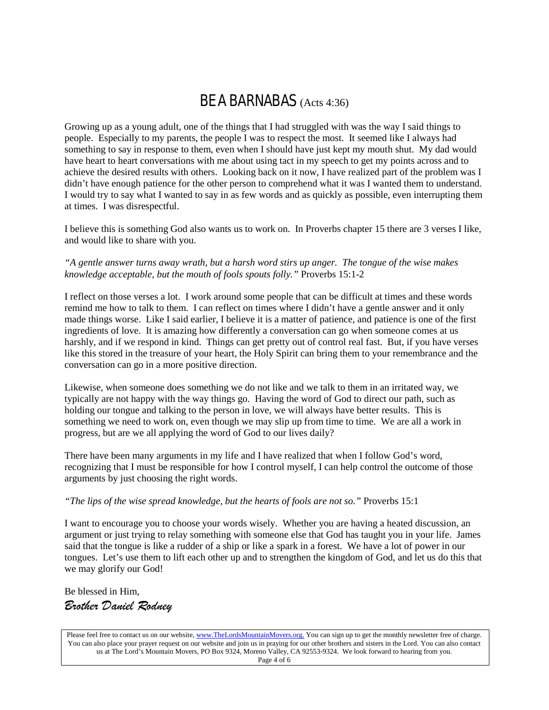## BE A BARNABAS (Acts 4:36)

Growing up as a young adult, one of the things that I had struggled with was the way I said things to people. Especially to my parents, the people I was to respect the most. It seemed like I always had something to say in response to them, even when I should have just kept my mouth shut. My dad would have heart to heart conversations with me about using tact in my speech to get my points across and to achieve the desired results with others. Looking back on it now, I have realized part of the problem was I didn't have enough patience for the other person to comprehend what it was I wanted them to understand. I would try to say what I wanted to say in as few words and as quickly as possible, even interrupting them at times. I was disrespectful.

I believe this is something God also wants us to work on. In Proverbs chapter 15 there are 3 verses I like, and would like to share with you.

#### *"A gentle answer turns away wrath, but a harsh word stirs up anger. The tongue of the wise makes knowledge acceptable, but the mouth of fools spouts folly."* Proverbs 15:1-2

I reflect on those verses a lot. I work around some people that can be difficult at times and these words remind me how to talk to them. I can reflect on times where I didn't have a gentle answer and it only made things worse. Like I said earlier, I believe it is a matter of patience, and patience is one of the first ingredients of love. It is amazing how differently a conversation can go when someone comes at us harshly, and if we respond in kind. Things can get pretty out of control real fast. But, if you have verses like this stored in the treasure of your heart, the Holy Spirit can bring them to your remembrance and the conversation can go in a more positive direction.

Likewise, when someone does something we do not like and we talk to them in an irritated way, we typically are not happy with the way things go. Having the word of God to direct our path, such as holding our tongue and talking to the person in love, we will always have better results. This is something we need to work on, even though we may slip up from time to time. We are all a work in progress, but are we all applying the word of God to our lives daily?

There have been many arguments in my life and I have realized that when I follow God's word, recognizing that I must be responsible for how I control myself, I can help control the outcome of those arguments by just choosing the right words.

#### *"The lips of the wise spread knowledge, but the hearts of fools are not so."* Proverbs 15:1

I want to encourage you to choose your words wisely. Whether you are having a heated discussion, an argument or just trying to relay something with someone else that God has taught you in your life. James said that the tongue is like a rudder of a ship or like a spark in a forest. We have a lot of power in our tongues. Let's use them to lift each other up and to strengthen the kingdom of God, and let us do this that we may glorify our God!

Be blessed in Him, *Brother Daniel Rodney*

Please feel free to contact us on our website, ww[w.TheLordsMountainMovers.o](http://www.thelordsmountainmovers.org/)rg. You can sign up to get the monthly newsletter free of charge. You can also place your prayer request on our website and join us in praying for our other brothers and sisters in the Lord. You can also contact us at The Lord's Mountain Movers, PO Box 9324, Moreno Valley, CA 92553-9324. We look forward to hearing from you. Page 4 of 6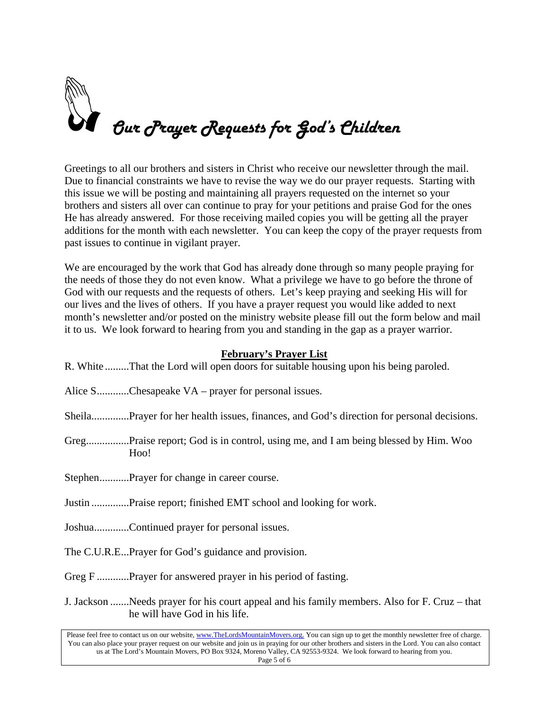# Our Prayer Requests for God's Children

Greetings to all our brothers and sisters in Christ who receive our newsletter through the mail. Due to financial constraints we have to revise the way we do our prayer requests. Starting with this issue we will be posting and maintaining all prayers requested on the internet so your brothers and sisters all over can continue to pray for your petitions and praise God for the ones He has already answered. For those receiving mailed copies you will be getting all the prayer additions for the month with each newsletter. You can keep the copy of the prayer requests from past issues to continue in vigilant prayer.

We are encouraged by the work that God has already done through so many people praying for the needs of those they do not even know. What a privilege we have to go before the throne of God with our requests and the requests of others. Let's keep praying and seeking His will for our lives and the lives of others. If you have a prayer request you would like added to next month's newsletter and/or posted on the ministry website please fill out the form below and mail it to us. We look forward to hearing from you and standing in the gap as a prayer warrior.

## **February's Prayer List**

| R. White That the Lord will open doors for suitable housing upon his being paroled.                                                                                                                                                                                                                                                                                                                                                                      |
|----------------------------------------------------------------------------------------------------------------------------------------------------------------------------------------------------------------------------------------------------------------------------------------------------------------------------------------------------------------------------------------------------------------------------------------------------------|
| Alice $S$ Chesapeake $VA$ – prayer for personal issues.                                                                                                                                                                                                                                                                                                                                                                                                  |
| SheilaPrayer for her health issues, finances, and God's direction for personal decisions.                                                                                                                                                                                                                                                                                                                                                                |
| GregPraise report; God is in control, using me, and I am being blessed by Him. Woo<br>Hoo!                                                                                                                                                                                                                                                                                                                                                               |
| StephenPrayer for change in career course.                                                                                                                                                                                                                                                                                                                                                                                                               |
| Justin Praise report; finished EMT school and looking for work.                                                                                                                                                                                                                                                                                                                                                                                          |
| JoshuaContinued prayer for personal issues.                                                                                                                                                                                                                                                                                                                                                                                                              |
| The C.U.R.EPrayer for God's guidance and provision.                                                                                                                                                                                                                                                                                                                                                                                                      |
| Greg F Prayer for answered prayer in his period of fasting.                                                                                                                                                                                                                                                                                                                                                                                              |
| J. Jackson Needs prayer for his court appeal and his family members. Also for F. Cruz – that<br>he will have God in his life.                                                                                                                                                                                                                                                                                                                            |
| $\mathbf{D} \mathbf{I} = \mathbf{C} \cdot \mathbf{I} \mathbf{C} \cdot \mathbf{A} + \mathbf{A} \cdot \mathbf{A} + \mathbf{A} \cdot \mathbf{A} + \mathbf{A} \cdot \mathbf{A} + \mathbf{A} \cdot \mathbf{A} + \mathbf{A} \cdot \mathbf{A} + \mathbf{A} \cdot \mathbf{A} + \mathbf{A} \cdot \mathbf{A} + \mathbf{A} \cdot \mathbf{A} + \mathbf{A} \cdot \mathbf{A} + \mathbf{A} \cdot \mathbf{A} + \mathbf{A} \cdot \mathbf{A} + \mathbf{A} \cdot \mathbf{A$ |

Please feel free to contact us on our website, ww[w.TheLordsMountainMovers.o](http://www.thelordsmountainmovers.org/)rg. You can sign up to get the monthly newsletter free of charge. You can also place your prayer request on our website and join us in praying for our other brothers and sisters in the Lord. You can also contact us at The Lord's Mountain Movers, PO Box 9324, Moreno Valley, CA 92553-9324. We look forward to hearing from you. Page 5 of 6